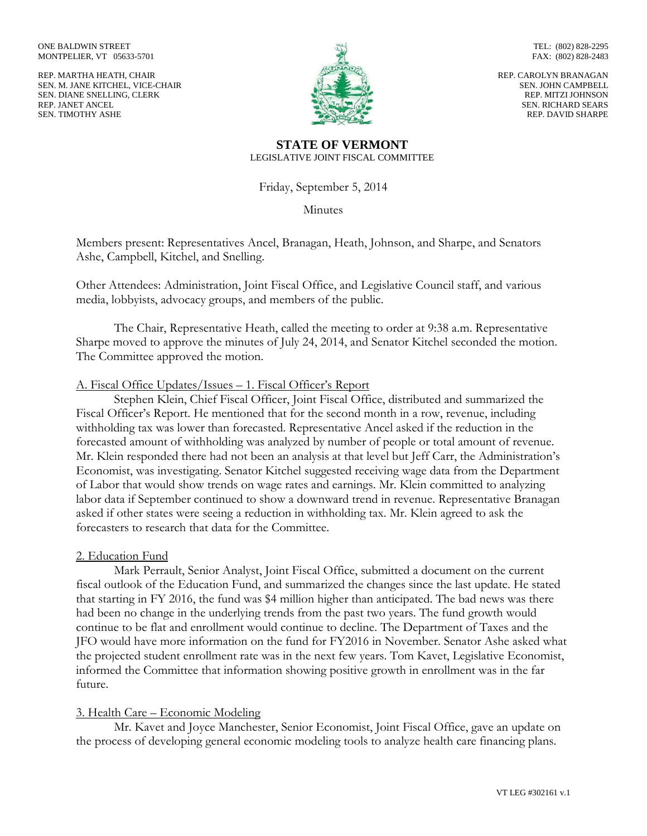ONE BALDWIN STREET MONTPELIER, VT 05633-5701

REP. MARTHA HEATH, CHAIR SEN. M. JANE KITCHEL, VICE-CHAIR SEN. DIANE SNELLING, CLERK REP. JANET ANCEL SEN. TIMOTHY ASHE



TEL: (802) 828-2295 FAX: (802) 828-2483

REP. CAROLYN BRANAGAN SEN. JOHN CAMPBELL REP. MITZI JOHNSON SEN. RICHARD SEARS REP. DAVID SHARPE

#### **STATE OF VERMONT** LEGISLATIVE JOINT FISCAL COMMITTEE

Friday, September 5, 2014

Minutes

Members present: Representatives Ancel, Branagan, Heath, Johnson, and Sharpe, and Senators Ashe, Campbell, Kitchel, and Snelling.

Other Attendees: Administration, Joint Fiscal Office, and Legislative Council staff, and various media, lobbyists, advocacy groups, and members of the public.

The Chair, Representative Heath, called the meeting to order at 9:38 a.m. Representative Sharpe moved to approve the minutes of July 24, 2014, and Senator Kitchel seconded the motion. The Committee approved the motion.

## A. Fiscal Office Updates/Issues – 1. Fiscal Officer's Report

Stephen Klein, Chief Fiscal Officer, Joint Fiscal Office, distributed and summarized the Fiscal Officer's Report. He mentioned that for the second month in a row, revenue, including withholding tax was lower than forecasted. Representative Ancel asked if the reduction in the forecasted amount of withholding was analyzed by number of people or total amount of revenue. Mr. Klein responded there had not been an analysis at that level but Jeff Carr, the Administration's Economist, was investigating. Senator Kitchel suggested receiving wage data from the Department of Labor that would show trends on wage rates and earnings. Mr. Klein committed to analyzing labor data if September continued to show a downward trend in revenue. Representative Branagan asked if other states were seeing a reduction in withholding tax. Mr. Klein agreed to ask the forecasters to research that data for the Committee.

### 2. Education Fund

Mark Perrault, Senior Analyst, Joint Fiscal Office, submitted a document on the current fiscal outlook of the Education Fund, and summarized the changes since the last update. He stated that starting in FY 2016, the fund was \$4 million higher than anticipated. The bad news was there had been no change in the underlying trends from the past two years. The fund growth would continue to be flat and enrollment would continue to decline. The Department of Taxes and the JFO would have more information on the fund for FY2016 in November. Senator Ashe asked what the projected student enrollment rate was in the next few years. Tom Kavet, Legislative Economist, informed the Committee that information showing positive growth in enrollment was in the far future.

# 3. Health Care – Economic Modeling

Mr. Kavet and Joyce Manchester, Senior Economist, Joint Fiscal Office, gave an update on the process of developing general economic modeling tools to analyze health care financing plans.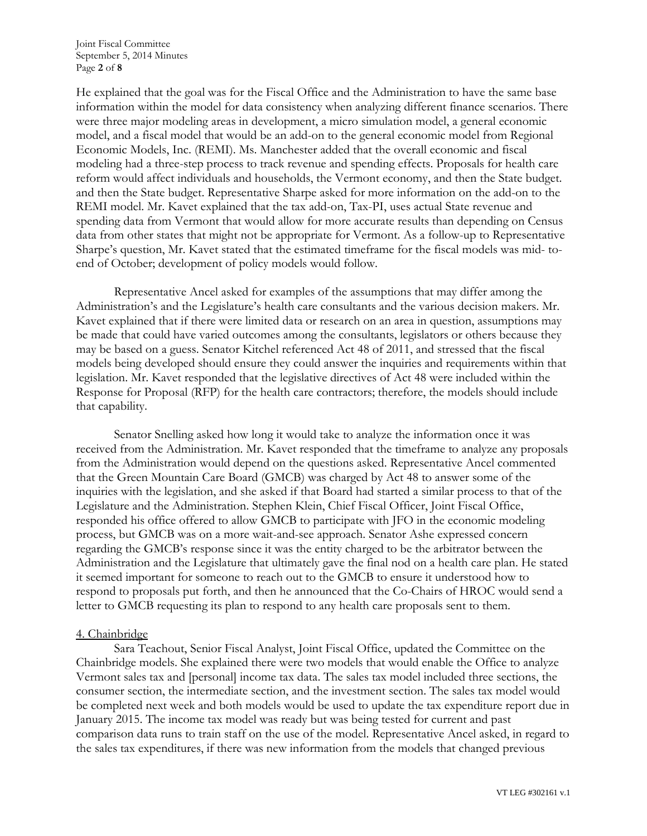He explained that the goal was for the Fiscal Office and the Administration to have the same base information within the model for data consistency when analyzing different finance scenarios. There were three major modeling areas in development, a micro simulation model, a general economic model, and a fiscal model that would be an add-on to the general economic model from Regional Economic Models, Inc. (REMI). Ms. Manchester added that the overall economic and fiscal modeling had a three-step process to track revenue and spending effects. Proposals for health care reform would affect individuals and households, the Vermont economy, and then the State budget. and then the State budget. Representative Sharpe asked for more information on the add-on to the REMI model. Mr. Kavet explained that the tax add-on, Tax-PI, uses actual State revenue and spending data from Vermont that would allow for more accurate results than depending on Census data from other states that might not be appropriate for Vermont. As a follow-up to Representative Sharpe's question, Mr. Kavet stated that the estimated timeframe for the fiscal models was mid- toend of October; development of policy models would follow.

Representative Ancel asked for examples of the assumptions that may differ among the Administration's and the Legislature's health care consultants and the various decision makers. Mr. Kavet explained that if there were limited data or research on an area in question, assumptions may be made that could have varied outcomes among the consultants, legislators or others because they may be based on a guess. Senator Kitchel referenced Act 48 of 2011, and stressed that the fiscal models being developed should ensure they could answer the inquiries and requirements within that legislation. Mr. Kavet responded that the legislative directives of Act 48 were included within the Response for Proposal (RFP) for the health care contractors; therefore, the models should include that capability.

Senator Snelling asked how long it would take to analyze the information once it was received from the Administration. Mr. Kavet responded that the timeframe to analyze any proposals from the Administration would depend on the questions asked. Representative Ancel commented that the Green Mountain Care Board (GMCB) was charged by Act 48 to answer some of the inquiries with the legislation, and she asked if that Board had started a similar process to that of the Legislature and the Administration. Stephen Klein, Chief Fiscal Officer, Joint Fiscal Office, responded his office offered to allow GMCB to participate with JFO in the economic modeling process, but GMCB was on a more wait-and-see approach. Senator Ashe expressed concern regarding the GMCB's response since it was the entity charged to be the arbitrator between the Administration and the Legislature that ultimately gave the final nod on a health care plan. He stated it seemed important for someone to reach out to the GMCB to ensure it understood how to respond to proposals put forth, and then he announced that the Co-Chairs of HROC would send a letter to GMCB requesting its plan to respond to any health care proposals sent to them.

### 4. Chainbridge

Sara Teachout, Senior Fiscal Analyst, Joint Fiscal Office, updated the Committee on the Chainbridge models. She explained there were two models that would enable the Office to analyze Vermont sales tax and [personal] income tax data. The sales tax model included three sections, the consumer section, the intermediate section, and the investment section. The sales tax model would be completed next week and both models would be used to update the tax expenditure report due in January 2015. The income tax model was ready but was being tested for current and past comparison data runs to train staff on the use of the model. Representative Ancel asked, in regard to the sales tax expenditures, if there was new information from the models that changed previous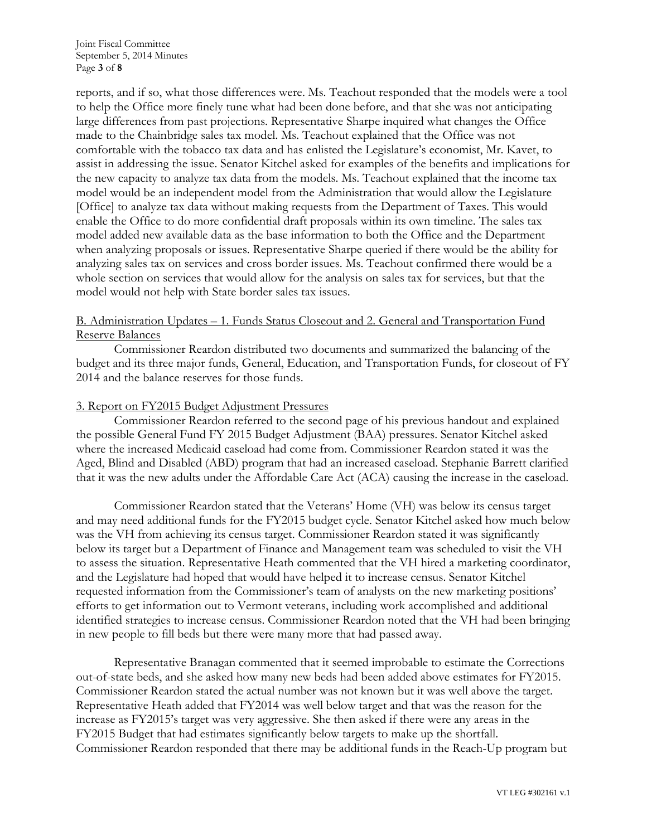reports, and if so, what those differences were. Ms. Teachout responded that the models were a tool to help the Office more finely tune what had been done before, and that she was not anticipating large differences from past projections. Representative Sharpe inquired what changes the Office made to the Chainbridge sales tax model. Ms. Teachout explained that the Office was not comfortable with the tobacco tax data and has enlisted the Legislature's economist, Mr. Kavet, to assist in addressing the issue. Senator Kitchel asked for examples of the benefits and implications for the new capacity to analyze tax data from the models. Ms. Teachout explained that the income tax model would be an independent model from the Administration that would allow the Legislature [Office] to analyze tax data without making requests from the Department of Taxes. This would enable the Office to do more confidential draft proposals within its own timeline. The sales tax model added new available data as the base information to both the Office and the Department when analyzing proposals or issues. Representative Sharpe queried if there would be the ability for analyzing sales tax on services and cross border issues. Ms. Teachout confirmed there would be a whole section on services that would allow for the analysis on sales tax for services, but that the model would not help with State border sales tax issues.

# B. Administration Updates – 1. Funds Status Closeout and 2. General and Transportation Fund Reserve Balances

Commissioner Reardon distributed two documents and summarized the balancing of the budget and its three major funds, General, Education, and Transportation Funds, for closeout of FY 2014 and the balance reserves for those funds.

## 3. Report on FY2015 Budget Adjustment Pressures

Commissioner Reardon referred to the second page of his previous handout and explained the possible General Fund FY 2015 Budget Adjustment (BAA) pressures. Senator Kitchel asked where the increased Medicaid caseload had come from. Commissioner Reardon stated it was the Aged, Blind and Disabled (ABD) program that had an increased caseload. Stephanie Barrett clarified that it was the new adults under the Affordable Care Act (ACA) causing the increase in the caseload.

Commissioner Reardon stated that the Veterans' Home (VH) was below its census target and may need additional funds for the FY2015 budget cycle. Senator Kitchel asked how much below was the VH from achieving its census target. Commissioner Reardon stated it was significantly below its target but a Department of Finance and Management team was scheduled to visit the VH to assess the situation. Representative Heath commented that the VH hired a marketing coordinator, and the Legislature had hoped that would have helped it to increase census. Senator Kitchel requested information from the Commissioner's team of analysts on the new marketing positions' efforts to get information out to Vermont veterans, including work accomplished and additional identified strategies to increase census. Commissioner Reardon noted that the VH had been bringing in new people to fill beds but there were many more that had passed away.

Representative Branagan commented that it seemed improbable to estimate the Corrections out-of-state beds, and she asked how many new beds had been added above estimates for FY2015. Commissioner Reardon stated the actual number was not known but it was well above the target. Representative Heath added that FY2014 was well below target and that was the reason for the increase as FY2015's target was very aggressive. She then asked if there were any areas in the FY2015 Budget that had estimates significantly below targets to make up the shortfall. Commissioner Reardon responded that there may be additional funds in the Reach-Up program but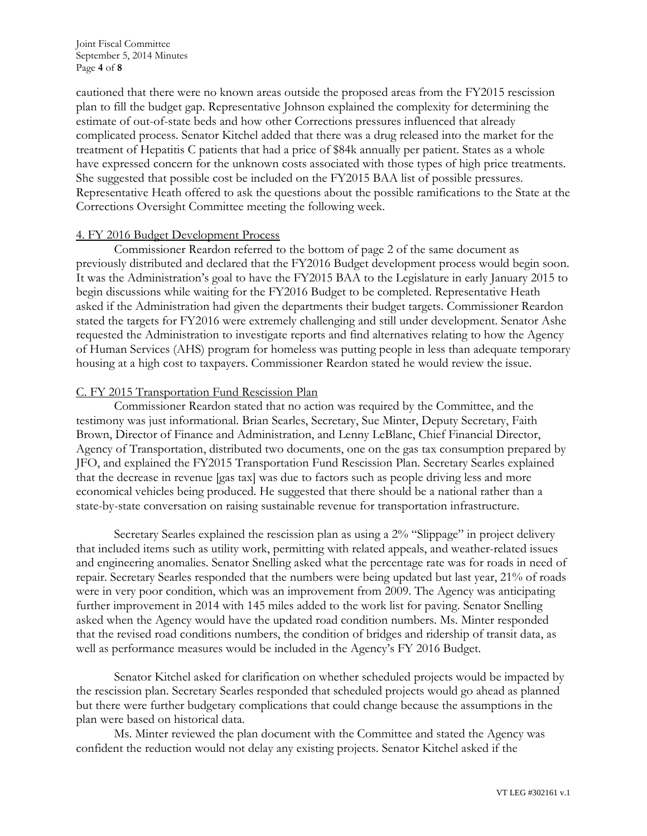Joint Fiscal Committee September 5, 2014 Minutes Page **4** of **8**

cautioned that there were no known areas outside the proposed areas from the FY2015 rescission plan to fill the budget gap. Representative Johnson explained the complexity for determining the estimate of out-of-state beds and how other Corrections pressures influenced that already complicated process. Senator Kitchel added that there was a drug released into the market for the treatment of Hepatitis C patients that had a price of \$84k annually per patient. States as a whole have expressed concern for the unknown costs associated with those types of high price treatments. She suggested that possible cost be included on the FY2015 BAA list of possible pressures. Representative Heath offered to ask the questions about the possible ramifications to the State at the Corrections Oversight Committee meeting the following week.

#### 4. FY 2016 Budget Development Process

Commissioner Reardon referred to the bottom of page 2 of the same document as previously distributed and declared that the FY2016 Budget development process would begin soon. It was the Administration's goal to have the FY2015 BAA to the Legislature in early January 2015 to begin discussions while waiting for the FY2016 Budget to be completed. Representative Heath asked if the Administration had given the departments their budget targets. Commissioner Reardon stated the targets for FY2016 were extremely challenging and still under development. Senator Ashe requested the Administration to investigate reports and find alternatives relating to how the Agency of Human Services (AHS) program for homeless was putting people in less than adequate temporary housing at a high cost to taxpayers. Commissioner Reardon stated he would review the issue.

## C. FY 2015 Transportation Fund Rescission Plan

Commissioner Reardon stated that no action was required by the Committee, and the testimony was just informational. Brian Searles, Secretary, Sue Minter, Deputy Secretary, Faith Brown, Director of Finance and Administration, and Lenny LeBlanc, Chief Financial Director, Agency of Transportation, distributed two documents, one on the gas tax consumption prepared by JFO, and explained the FY2015 Transportation Fund Rescission Plan. Secretary Searles explained that the decrease in revenue [gas tax] was due to factors such as people driving less and more economical vehicles being produced. He suggested that there should be a national rather than a state-by-state conversation on raising sustainable revenue for transportation infrastructure.

Secretary Searles explained the rescission plan as using a 2% "Slippage" in project delivery that included items such as utility work, permitting with related appeals, and weather-related issues and engineering anomalies. Senator Snelling asked what the percentage rate was for roads in need of repair. Secretary Searles responded that the numbers were being updated but last year, 21% of roads were in very poor condition, which was an improvement from 2009. The Agency was anticipating further improvement in 2014 with 145 miles added to the work list for paving. Senator Snelling asked when the Agency would have the updated road condition numbers. Ms. Minter responded that the revised road conditions numbers, the condition of bridges and ridership of transit data, as well as performance measures would be included in the Agency's FY 2016 Budget.

Senator Kitchel asked for clarification on whether scheduled projects would be impacted by the rescission plan. Secretary Searles responded that scheduled projects would go ahead as planned but there were further budgetary complications that could change because the assumptions in the plan were based on historical data.

Ms. Minter reviewed the plan document with the Committee and stated the Agency was confident the reduction would not delay any existing projects. Senator Kitchel asked if the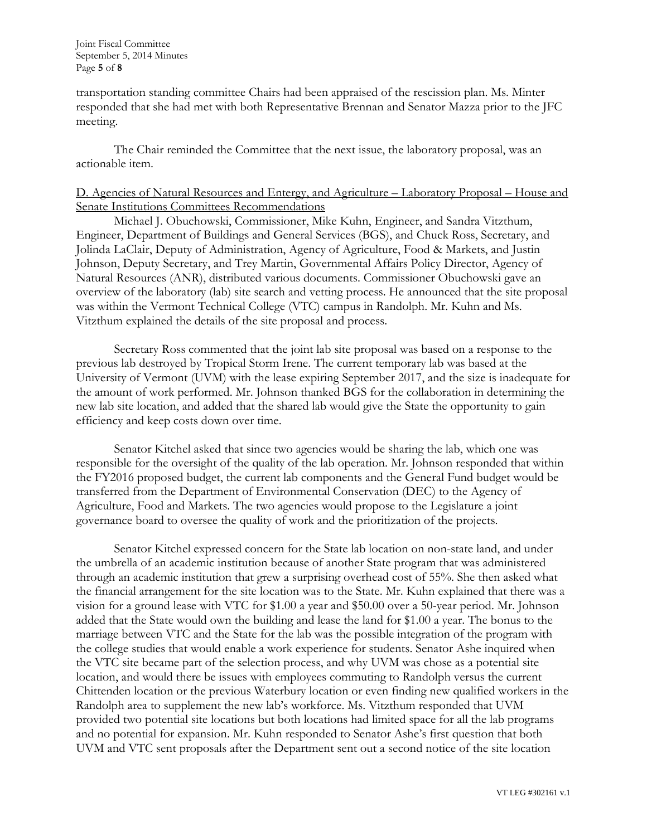transportation standing committee Chairs had been appraised of the rescission plan. Ms. Minter responded that she had met with both Representative Brennan and Senator Mazza prior to the JFC meeting.

The Chair reminded the Committee that the next issue, the laboratory proposal, was an actionable item.

# D. Agencies of Natural Resources and Entergy, and Agriculture – Laboratory Proposal – House and Senate Institutions Committees Recommendations

Michael J. Obuchowski, Commissioner, Mike Kuhn, Engineer, and Sandra Vitzthum, Engineer, Department of Buildings and General Services (BGS), and Chuck Ross, Secretary, and Jolinda LaClair, Deputy of Administration, Agency of Agriculture, Food & Markets, and Justin Johnson, Deputy Secretary, and Trey Martin, Governmental Affairs Policy Director, Agency of Natural Resources (ANR), distributed various documents. Commissioner Obuchowski gave an overview of the laboratory (lab) site search and vetting process. He announced that the site proposal was within the Vermont Technical College (VTC) campus in Randolph. Mr. Kuhn and Ms. Vitzthum explained the details of the site proposal and process.

Secretary Ross commented that the joint lab site proposal was based on a response to the previous lab destroyed by Tropical Storm Irene. The current temporary lab was based at the University of Vermont (UVM) with the lease expiring September 2017, and the size is inadequate for the amount of work performed. Mr. Johnson thanked BGS for the collaboration in determining the new lab site location, and added that the shared lab would give the State the opportunity to gain efficiency and keep costs down over time.

Senator Kitchel asked that since two agencies would be sharing the lab, which one was responsible for the oversight of the quality of the lab operation. Mr. Johnson responded that within the FY2016 proposed budget, the current lab components and the General Fund budget would be transferred from the Department of Environmental Conservation (DEC) to the Agency of Agriculture, Food and Markets. The two agencies would propose to the Legislature a joint governance board to oversee the quality of work and the prioritization of the projects.

Senator Kitchel expressed concern for the State lab location on non-state land, and under the umbrella of an academic institution because of another State program that was administered through an academic institution that grew a surprising overhead cost of 55%. She then asked what the financial arrangement for the site location was to the State. Mr. Kuhn explained that there was a vision for a ground lease with VTC for \$1.00 a year and \$50.00 over a 50-year period. Mr. Johnson added that the State would own the building and lease the land for \$1.00 a year. The bonus to the marriage between VTC and the State for the lab was the possible integration of the program with the college studies that would enable a work experience for students. Senator Ashe inquired when the VTC site became part of the selection process, and why UVM was chose as a potential site location, and would there be issues with employees commuting to Randolph versus the current Chittenden location or the previous Waterbury location or even finding new qualified workers in the Randolph area to supplement the new lab's workforce. Ms. Vitzthum responded that UVM provided two potential site locations but both locations had limited space for all the lab programs and no potential for expansion. Mr. Kuhn responded to Senator Ashe's first question that both UVM and VTC sent proposals after the Department sent out a second notice of the site location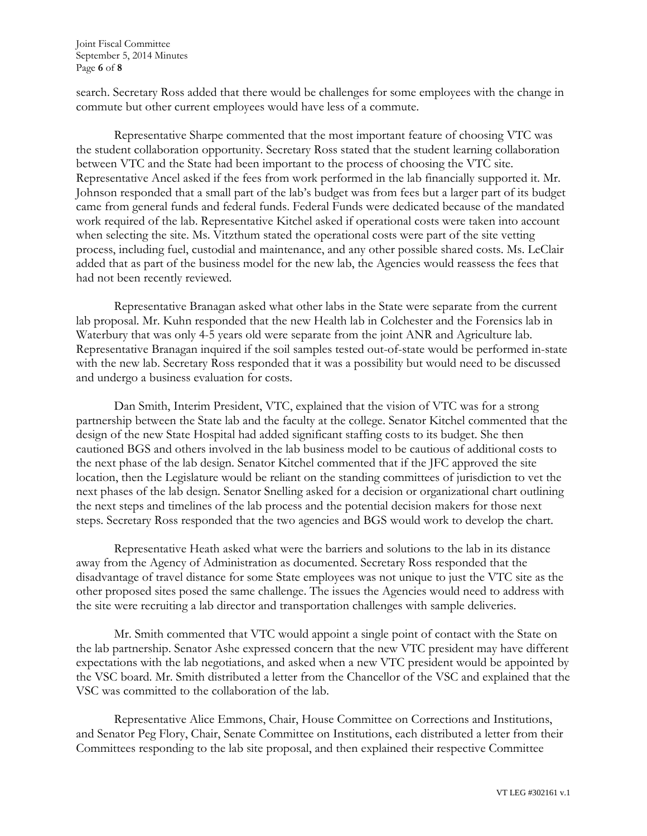Joint Fiscal Committee September 5, 2014 Minutes Page **6** of **8**

search. Secretary Ross added that there would be challenges for some employees with the change in commute but other current employees would have less of a commute.

Representative Sharpe commented that the most important feature of choosing VTC was the student collaboration opportunity. Secretary Ross stated that the student learning collaboration between VTC and the State had been important to the process of choosing the VTC site. Representative Ancel asked if the fees from work performed in the lab financially supported it. Mr. Johnson responded that a small part of the lab's budget was from fees but a larger part of its budget came from general funds and federal funds. Federal Funds were dedicated because of the mandated work required of the lab. Representative Kitchel asked if operational costs were taken into account when selecting the site. Ms. Vitzthum stated the operational costs were part of the site vetting process, including fuel, custodial and maintenance, and any other possible shared costs. Ms. LeClair added that as part of the business model for the new lab, the Agencies would reassess the fees that had not been recently reviewed.

Representative Branagan asked what other labs in the State were separate from the current lab proposal. Mr. Kuhn responded that the new Health lab in Colchester and the Forensics lab in Waterbury that was only 4-5 years old were separate from the joint ANR and Agriculture lab. Representative Branagan inquired if the soil samples tested out-of-state would be performed in-state with the new lab. Secretary Ross responded that it was a possibility but would need to be discussed and undergo a business evaluation for costs.

Dan Smith, Interim President, VTC, explained that the vision of VTC was for a strong partnership between the State lab and the faculty at the college. Senator Kitchel commented that the design of the new State Hospital had added significant staffing costs to its budget. She then cautioned BGS and others involved in the lab business model to be cautious of additional costs to the next phase of the lab design. Senator Kitchel commented that if the JFC approved the site location, then the Legislature would be reliant on the standing committees of jurisdiction to vet the next phases of the lab design. Senator Snelling asked for a decision or organizational chart outlining the next steps and timelines of the lab process and the potential decision makers for those next steps. Secretary Ross responded that the two agencies and BGS would work to develop the chart.

Representative Heath asked what were the barriers and solutions to the lab in its distance away from the Agency of Administration as documented. Secretary Ross responded that the disadvantage of travel distance for some State employees was not unique to just the VTC site as the other proposed sites posed the same challenge. The issues the Agencies would need to address with the site were recruiting a lab director and transportation challenges with sample deliveries.

Mr. Smith commented that VTC would appoint a single point of contact with the State on the lab partnership. Senator Ashe expressed concern that the new VTC president may have different expectations with the lab negotiations, and asked when a new VTC president would be appointed by the VSC board. Mr. Smith distributed a letter from the Chancellor of the VSC and explained that the VSC was committed to the collaboration of the lab.

Representative Alice Emmons, Chair, House Committee on Corrections and Institutions, and Senator Peg Flory, Chair, Senate Committee on Institutions, each distributed a letter from their Committees responding to the lab site proposal, and then explained their respective Committee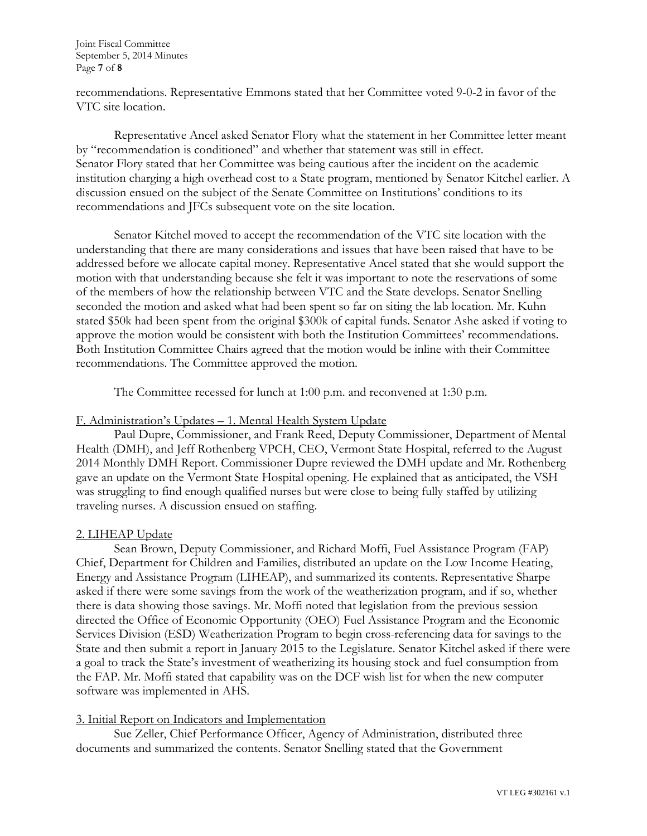Joint Fiscal Committee September 5, 2014 Minutes Page **7** of **8**

recommendations. Representative Emmons stated that her Committee voted 9-0-2 in favor of the VTC site location.

Representative Ancel asked Senator Flory what the statement in her Committee letter meant by "recommendation is conditioned" and whether that statement was still in effect. Senator Flory stated that her Committee was being cautious after the incident on the academic institution charging a high overhead cost to a State program, mentioned by Senator Kitchel earlier. A discussion ensued on the subject of the Senate Committee on Institutions' conditions to its recommendations and JFCs subsequent vote on the site location.

Senator Kitchel moved to accept the recommendation of the VTC site location with the understanding that there are many considerations and issues that have been raised that have to be addressed before we allocate capital money. Representative Ancel stated that she would support the motion with that understanding because she felt it was important to note the reservations of some of the members of how the relationship between VTC and the State develops. Senator Snelling seconded the motion and asked what had been spent so far on siting the lab location. Mr. Kuhn stated \$50k had been spent from the original \$300k of capital funds. Senator Ashe asked if voting to approve the motion would be consistent with both the Institution Committees' recommendations. Both Institution Committee Chairs agreed that the motion would be inline with their Committee recommendations. The Committee approved the motion.

The Committee recessed for lunch at 1:00 p.m. and reconvened at 1:30 p.m.

# F. Administration's Updates – 1. Mental Health System Update

Paul Dupre, Commissioner, and Frank Reed, Deputy Commissioner, Department of Mental Health (DMH), and Jeff Rothenberg VPCH, CEO, Vermont State Hospital, referred to the August 2014 Monthly DMH Report. Commissioner Dupre reviewed the DMH update and Mr. Rothenberg gave an update on the Vermont State Hospital opening. He explained that as anticipated, the VSH was struggling to find enough qualified nurses but were close to being fully staffed by utilizing traveling nurses. A discussion ensued on staffing.

### 2. LIHEAP Update

Sean Brown, Deputy Commissioner, and Richard Moffi, Fuel Assistance Program (FAP) Chief, Department for Children and Families, distributed an update on the Low Income Heating, Energy and Assistance Program (LIHEAP), and summarized its contents. Representative Sharpe asked if there were some savings from the work of the weatherization program, and if so, whether there is data showing those savings. Mr. Moffi noted that legislation from the previous session directed the Office of Economic Opportunity (OEO) Fuel Assistance Program and the Economic Services Division (ESD) Weatherization Program to begin cross-referencing data for savings to the State and then submit a report in January 2015 to the Legislature. Senator Kitchel asked if there were a goal to track the State's investment of weatherizing its housing stock and fuel consumption from the FAP. Mr. Moffi stated that capability was on the DCF wish list for when the new computer software was implemented in AHS.

# 3. Initial Report on Indicators and Implementation

Sue Zeller, Chief Performance Officer, Agency of Administration, distributed three documents and summarized the contents. Senator Snelling stated that the Government